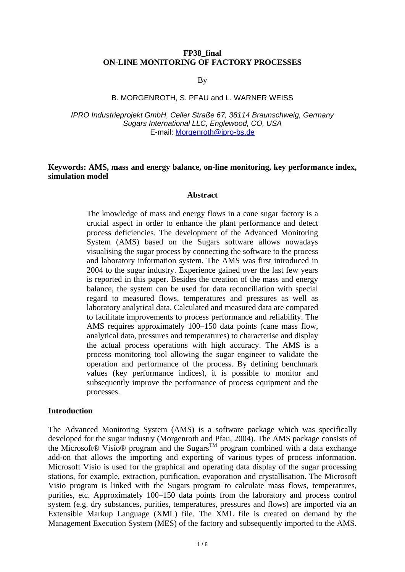## **FP38\_final ON-LINE MONITORING OF FACTORY PROCESSES**

By

### B. MORGENROTH, S. PFAU and L. WARNER WEISS

*IPRO Industrieprojekt GmbH, Celler Straße 67, 38114 Braunschweig, Germany Sugars International LLC, Englewood, CO, USA*  E-mail: Morgenroth@ipro-bs.de

### **Keywords: AMS, mass and energy balance, on-line monitoring, key performance index, simulation model**

#### **Abstract**

The knowledge of mass and energy flows in a cane sugar factory is a crucial aspect in order to enhance the plant performance and detect process deficiencies. The development of the Advanced Monitoring System (AMS) based on the Sugars software allows nowadays visualising the sugar process by connecting the software to the process and laboratory information system. The AMS was first introduced in 2004 to the sugar industry. Experience gained over the last few years is reported in this paper. Besides the creation of the mass and energy balance, the system can be used for data reconciliation with special regard to measured flows, temperatures and pressures as well as laboratory analytical data. Calculated and measured data are compared to facilitate improvements to process performance and reliability. The AMS requires approximately 100–150 data points (cane mass flow, analytical data, pressures and temperatures) to characterise and display the actual process operations with high accuracy. The AMS is a process monitoring tool allowing the sugar engineer to validate the operation and performance of the process. By defining benchmark values (key performance indices), it is possible to monitor and subsequently improve the performance of process equipment and the processes.

#### **Introduction**

The Advanced Monitoring System (AMS) is a software package which was specifically developed for the sugar industry (Morgenroth and Pfau, 2004). The AMS package consists of the Microsoft® Visio® program and the Sugars<sup>TM</sup> program combined with a data exchange add-on that allows the importing and exporting of various types of process information. Microsoft Visio is used for the graphical and operating data display of the sugar processing stations, for example, extraction, purification, evaporation and crystallisation. The Microsoft Visio program is linked with the Sugars program to calculate mass flows, temperatures, purities, etc. Approximately 100–150 data points from the laboratory and process control system (e.g. dry substances, purities, temperatures, pressures and flows) are imported via an Extensible Markup Language (XML) file. The XML file is created on demand by the Management Execution System (MES) of the factory and subsequently imported to the AMS.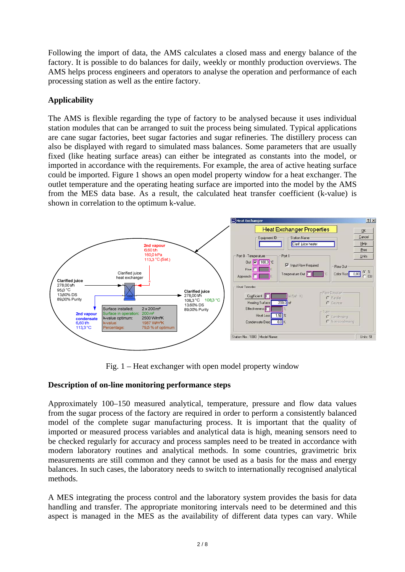Following the import of data, the AMS calculates a closed mass and energy balance of the factory. It is possible to do balances for daily, weekly or monthly production overviews. The AMS helps process engineers and operators to analyse the operation and performance of each processing station as well as the entire factory.

# **Applicability**

The AMS is flexible regarding the type of factory to be analysed because it uses individual station modules that can be arranged to suit the process being simulated. Typical applications are cane sugar factories, beet sugar factories and sugar refineries. The distillery process can also be displayed with regard to simulated mass balances. Some parameters that are usually fixed (like heating surface areas) can either be integrated as constants into the model, or imported in accordance with the requirements. For example, the area of active heating surface could be imported. Figure 1 shows an open model property window for a heat exchanger. The outlet temperature and the operating heating surface are imported into the model by the AMS from the MES data base. As a result, the calculated heat transfer coefficient (k-value) is shown in correlation to the optimum k-value.



Fig. 1 – Heat exchanger with open model property window

# **Description of on-line monitoring performance steps**

Approximately 100–150 measured analytical, temperature, pressure and flow data values from the sugar process of the factory are required in order to perform a consistently balanced model of the complete sugar manufacturing process. It is important that the quality of imported or measured process variables and analytical data is high, meaning sensors need to be checked regularly for accuracy and process samples need to be treated in accordance with modern laboratory routines and analytical methods. In some countries, gravimetric brix measurements are still common and they cannot be used as a basis for the mass and energy balances. In such cases, the laboratory needs to switch to internationally recognised analytical methods.

A MES integrating the process control and the laboratory system provides the basis for data handling and transfer. The appropriate monitoring intervals need to be determined and this aspect is managed in the MES as the availability of different data types can vary. While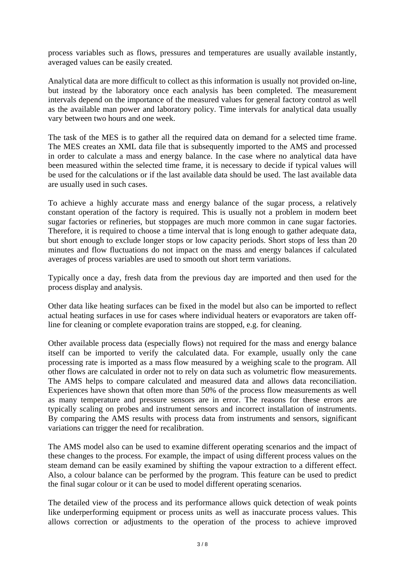process variables such as flows, pressures and temperatures are usually available instantly, averaged values can be easily created.

Analytical data are more difficult to collect as this information is usually not provided on-line, but instead by the laboratory once each analysis has been completed. The measurement intervals depend on the importance of the measured values for general factory control as well as the available man power and laboratory policy. Time intervals for analytical data usually vary between two hours and one week.

The task of the MES is to gather all the required data on demand for a selected time frame. The MES creates an XML data file that is subsequently imported to the AMS and processed in order to calculate a mass and energy balance. In the case where no analytical data have been measured within the selected time frame, it is necessary to decide if typical values will be used for the calculations or if the last available data should be used. The last available data are usually used in such cases.

To achieve a highly accurate mass and energy balance of the sugar process, a relatively constant operation of the factory is required. This is usually not a problem in modern beet sugar factories or refineries, but stoppages are much more common in cane sugar factories. Therefore, it is required to choose a time interval that is long enough to gather adequate data, but short enough to exclude longer stops or low capacity periods. Short stops of less than 20 minutes and flow fluctuations do not impact on the mass and energy balances if calculated averages of process variables are used to smooth out short term variations.

Typically once a day, fresh data from the previous day are imported and then used for the process display and analysis.

Other data like heating surfaces can be fixed in the model but also can be imported to reflect actual heating surfaces in use for cases where individual heaters or evaporators are taken offline for cleaning or complete evaporation trains are stopped, e.g. for cleaning.

Other available process data (especially flows) not required for the mass and energy balance itself can be imported to verify the calculated data. For example, usually only the cane processing rate is imported as a mass flow measured by a weighing scale to the program. All other flows are calculated in order not to rely on data such as volumetric flow measurements. The AMS helps to compare calculated and measured data and allows data reconciliation. Experiences have shown that often more than 50% of the process flow measurements as well as many temperature and pressure sensors are in error. The reasons for these errors are typically scaling on probes and instrument sensors and incorrect installation of instruments. By comparing the AMS results with process data from instruments and sensors, significant variations can trigger the need for recalibration.

The AMS model also can be used to examine different operating scenarios and the impact of these changes to the process. For example, the impact of using different process values on the steam demand can be easily examined by shifting the vapour extraction to a different effect. Also, a colour balance can be performed by the program. This feature can be used to predict the final sugar colour or it can be used to model different operating scenarios.

The detailed view of the process and its performance allows quick detection of weak points like underperforming equipment or process units as well as inaccurate process values. This allows correction or adjustments to the operation of the process to achieve improved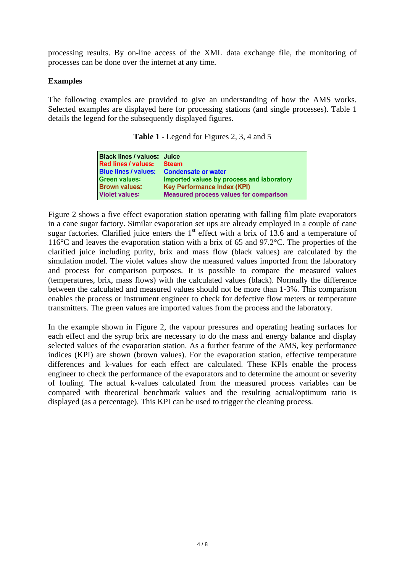processing results. By on-line access of the XML data exchange file, the monitoring of processes can be done over the internet at any time.

# **Examples**

The following examples are provided to give an understanding of how the AMS works. Selected examples are displayed here for processing stations (and single processes). Table 1 details the legend for the subsequently displayed figures.

| Black lines / values: Juice                   |
|-----------------------------------------------|
| <b>Steam</b>                                  |
| <b>Condensate or water</b>                    |
| Imported values by process and laboratory     |
| <b>Key Performance Index (KPI)</b>            |
| <b>Measured process values for comparison</b> |
|                                               |

**Table 1** - Legend for Figures 2, 3, 4 and 5

Figure 2 shows a five effect evaporation station operating with falling film plate evaporators in a cane sugar factory. Similar evaporation set ups are already employed in a couple of cane sugar factories. Clarified juice enters the  $1<sup>st</sup>$  effect with a brix of 13.6 and a temperature of 116°C and leaves the evaporation station with a brix of 65 and 97.2°C. The properties of the clarified juice including purity, brix and mass flow (black values) are calculated by the simulation model. The violet values show the measured values imported from the laboratory and process for comparison purposes. It is possible to compare the measured values (temperatures, brix, mass flows) with the calculated values (black). Normally the difference between the calculated and measured values should not be more than 1-3%. This comparison enables the process or instrument engineer to check for defective flow meters or temperature transmitters. The green values are imported values from the process and the laboratory.

In the example shown in Figure 2, the vapour pressures and operating heating surfaces for each effect and the syrup brix are necessary to do the mass and energy balance and display selected values of the evaporation station. As a further feature of the AMS, key performance indices (KPI) are shown (brown values). For the evaporation station, effective temperature differences and k-values for each effect are calculated. These KPIs enable the process engineer to check the performance of the evaporators and to determine the amount or severity of fouling. The actual k-values calculated from the measured process variables can be compared with theoretical benchmark values and the resulting actual/optimum ratio is displayed (as a percentage). This KPI can be used to trigger the cleaning process.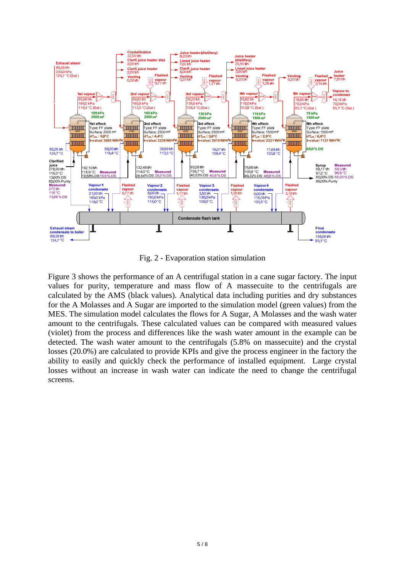

Fig. 2 - Evaporation station simulation

Figure 3 shows the performance of an A centrifugal station in a cane sugar factory. The input values for purity, temperature and mass flow of A massecuite to the centrifugals are calculated by the AMS (black values). Analytical data including purities and dry substances for the A Molasses and A Sugar are imported to the simulation model (green values) from the MES. The simulation model calculates the flows for A Sugar, A Molasses and the wash water amount to the centrifugals. These calculated values can be compared with measured values (violet) from the process and differences like the wash water amount in the example can be detected. The wash water amount to the centrifugals (5.8% on massecuite) and the crystal losses (20.0%) are calculated to provide KPIs and give the process engineer in the factory the ability to easily and quickly check the performance of installed equipment. Large crystal losses without an increase in wash water can indicate the need to change the centrifugal screens.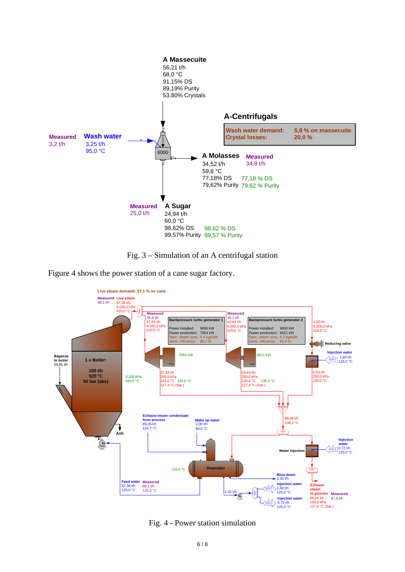

Fig. 3 – Simulation of an A centrifugal station

Figure 4 shows the power station of a cane sugar factory.



Fig. 4 **-** Power station simulation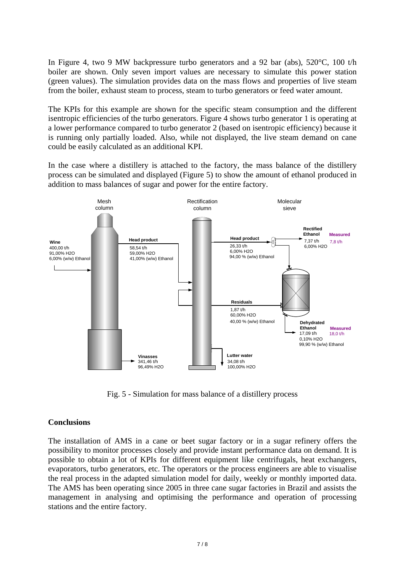In Figure 4, two 9 MW backpressure turbo generators and a 92 bar (abs), 520°C, 100 t/h boiler are shown. Only seven import values are necessary to simulate this power station (green values). The simulation provides data on the mass flows and properties of live steam from the boiler, exhaust steam to process, steam to turbo generators or feed water amount.

The KPIs for this example are shown for the specific steam consumption and the different isentropic efficiencies of the turbo generators. Figure 4 shows turbo generator 1 is operating at a lower performance compared to turbo generator 2 (based on isentropic efficiency) because it is running only partially loaded. Also, while not displayed, the live steam demand on cane could be easily calculated as an additional KPI.

In the case where a distillery is attached to the factory, the mass balance of the distillery process can be simulated and displayed (Figure 5) to show the amount of ethanol produced in addition to mass balances of sugar and power for the entire factory.



Fig. 5 - Simulation for mass balance of a distillery process

## **Conclusions**

The installation of AMS in a cane or beet sugar factory or in a sugar refinery offers the possibility to monitor processes closely and provide instant performance data on demand. It is possible to obtain a lot of KPIs for different equipment like centrifugals, heat exchangers, evaporators, turbo generators, etc. The operators or the process engineers are able to visualise the real process in the adapted simulation model for daily, weekly or monthly imported data. The AMS has been operating since 2005 in three cane sugar factories in Brazil and assists the management in analysing and optimising the performance and operation of processing stations and the entire factory.